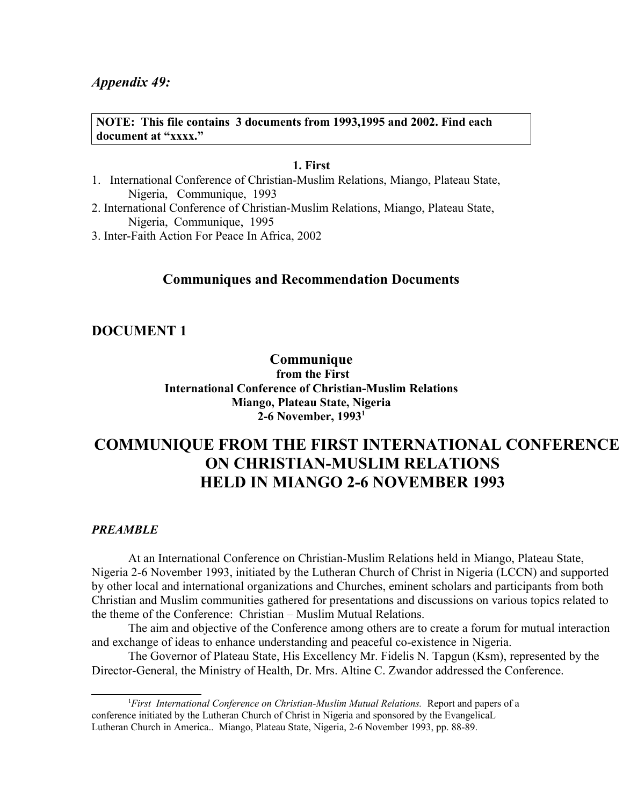#### **NOTE: This file contains 3 documents from 1993,1995 and 2002. Find each document at "xxxx."**

#### **1. First**

- 1. International Conference of Christian-Muslim Relations, Miango, Plateau State, Nigeria, Communique, 1993
- 2. International Conference of Christian-Muslim Relations, Miango, Plateau State, Nigeria, Communique, 1995
- 3. Inter-Faith Action For Peace In Africa, 2002

# **Communiques and Recommendation Documents**

# **DOCUMENT 1**

**Communique**

 **from the First International Conference of Christian-Muslim Relations Miango, Plateau State, Nigeria 2-6 November, 1993[1](#page-0-0)**

# **COMMUNIQUE FROM THE FIRST INTERNATIONAL CONFERENCE ON CHRISTIAN-MUSLIM RELATIONS HELD IN MIANGO 2-6 NOVEMBER 1993**

#### *PREAMBLE*

At an International Conference on Christian-Muslim Relations held in Miango, Plateau State, Nigeria 2-6 November 1993, initiated by the Lutheran Church of Christ in Nigeria (LCCN) and supported by other local and international organizations and Churches, eminent scholars and participants from both Christian and Muslim communities gathered for presentations and discussions on various topics related to the theme of the Conference: Christian – Muslim Mutual Relations.

The aim and objective of the Conference among others are to create a forum for mutual interaction and exchange of ideas to enhance understanding and peaceful co-existence in Nigeria.

The Governor of Plateau State, His Excellency Mr. Fidelis N. Tapgun (Ksm), represented by the Director-General, the Ministry of Health, Dr. Mrs. Altine C. Zwandor addressed the Conference.

<span id="page-0-0"></span><sup>1</sup>*First International Conference on Christian-Muslim Mutual Relations.* Report and papers of a conference initiated by the Lutheran Church of Christ in Nigeria and sponsored by the EvangelicaL Lutheran Church in America.. Miango, Plateau State, Nigeria, 2-6 November 1993, pp. 88-89.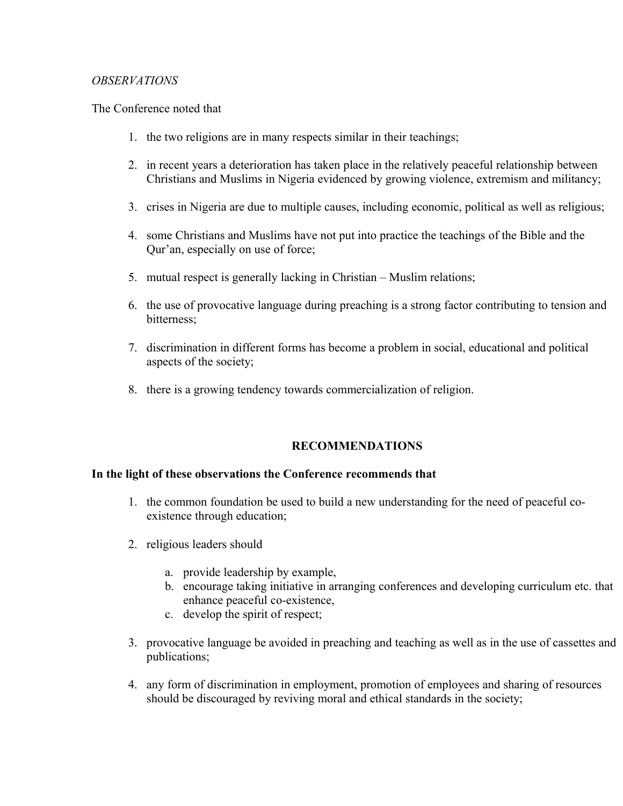## *OBSERVATIONS*

The Conference noted that

- 1. the two religions are in many respects similar in their teachings;
- 2. in recent years a deterioration has taken place in the relatively peaceful relationship between Christians and Muslims in Nigeria evidenced by growing violence, extremism and militancy;
- 3. crises in Nigeria are due to multiple causes, including economic, political as well as religious;
- 4. some Christians and Muslims have not put into practice the teachings of the Bible and the Qur'an, especially on use of force;
- 5. mutual respect is generally lacking in Christian Muslim relations;
- 6. the use of provocative language during preaching is a strong factor contributing to tension and bitterness;
- 7. discrimination in different forms has become a problem in social, educational and political aspects of the society;
- 8. there is a growing tendency towards commercialization of religion.

# **RECOMMENDATIONS**

#### **In the light of these observations the Conference recommends that**

- 1. the common foundation be used to build a new understanding for the need of peaceful coexistence through education;
- 2. religious leaders should
	- a. provide leadership by example,
	- b. encourage taking initiative in arranging conferences and developing curriculum etc. that enhance peaceful co-existence,
	- c. develop the spirit of respect;
- 3. provocative language be avoided in preaching and teaching as well as in the use of cassettes and publications;
- 4. any form of discrimination in employment, promotion of employees and sharing of resources should be discouraged by reviving moral and ethical standards in the society;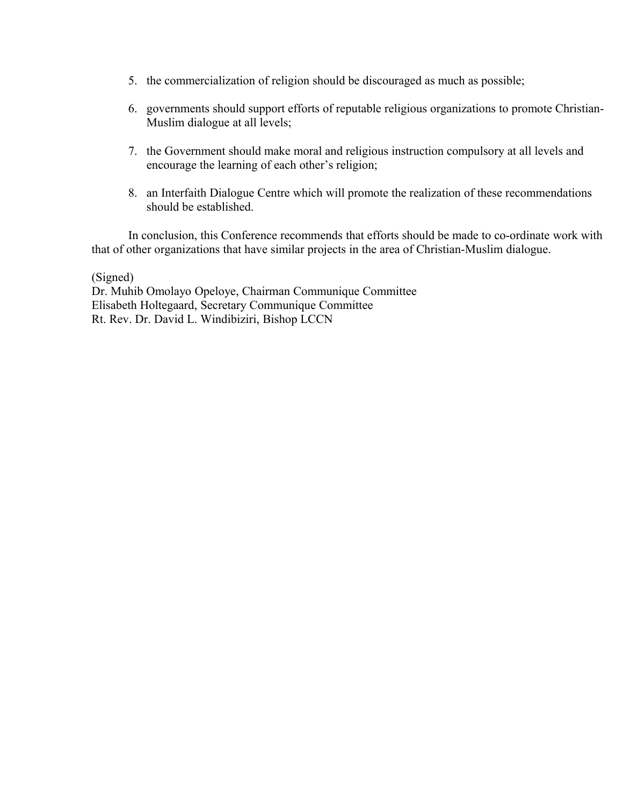- 5. the commercialization of religion should be discouraged as much as possible;
- 6. governments should support efforts of reputable religious organizations to promote Christian-Muslim dialogue at all levels;
- 7. the Government should make moral and religious instruction compulsory at all levels and encourage the learning of each other's religion;
- 8. an Interfaith Dialogue Centre which will promote the realization of these recommendations should be established.

In conclusion, this Conference recommends that efforts should be made to co-ordinate work with that of other organizations that have similar projects in the area of Christian-Muslim dialogue.

(Signed)

Dr. Muhib Omolayo Opeloye, Chairman Communique Committee Elisabeth Holtegaard, Secretary Communique Committee Rt. Rev. Dr. David L. Windibiziri, Bishop LCCN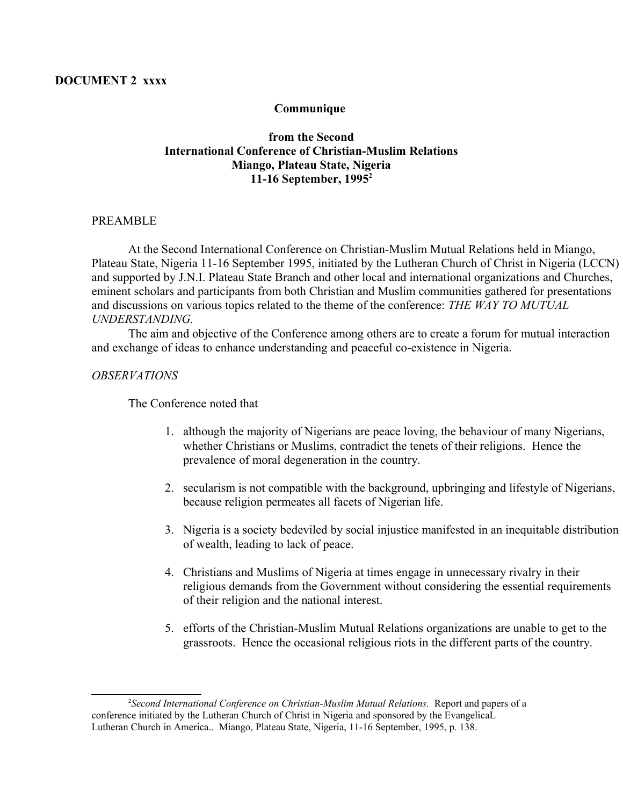#### **Communique**

## **from the Second International Conference of Christian-Muslim Relations Miango, Plateau State, Nigeria 11-16 September, 1995[2](#page-3-0)**

#### PREAMBLE

At the Second International Conference on Christian-Muslim Mutual Relations held in Miango, Plateau State, Nigeria 11-16 September 1995, initiated by the Lutheran Church of Christ in Nigeria (LCCN) and supported by J.N.I. Plateau State Branch and other local and international organizations and Churches, eminent scholars and participants from both Christian and Muslim communities gathered for presentations and discussions on various topics related to the theme of the conference: *THE WAY TO MUTUAL UNDERSTANDING.*

The aim and objective of the Conference among others are to create a forum for mutual interaction and exchange of ideas to enhance understanding and peaceful co-existence in Nigeria.

#### *OBSERVATIONS*

The Conference noted that

- 1. although the majority of Nigerians are peace loving, the behaviour of many Nigerians, whether Christians or Muslims, contradict the tenets of their religions. Hence the prevalence of moral degeneration in the country.
- 2. secularism is not compatible with the background, upbringing and lifestyle of Nigerians, because religion permeates all facets of Nigerian life.
- 3. Nigeria is a society bedeviled by social injustice manifested in an inequitable distribution of wealth, leading to lack of peace.
- 4. Christians and Muslims of Nigeria at times engage in unnecessary rivalry in their religious demands from the Government without considering the essential requirements of their religion and the national interest.
- 5. efforts of the Christian-Muslim Mutual Relations organizations are unable to get to the grassroots. Hence the occasional religious riots in the different parts of the country.

<span id="page-3-0"></span><sup>2</sup> *Second International Conference on Christian-Muslim Mutual Relations.* Report and papers of a conference initiated by the Lutheran Church of Christ in Nigeria and sponsored by the EvangelicaL Lutheran Church in America.. Miango, Plateau State, Nigeria, 11-16 September, 1995, p. 138.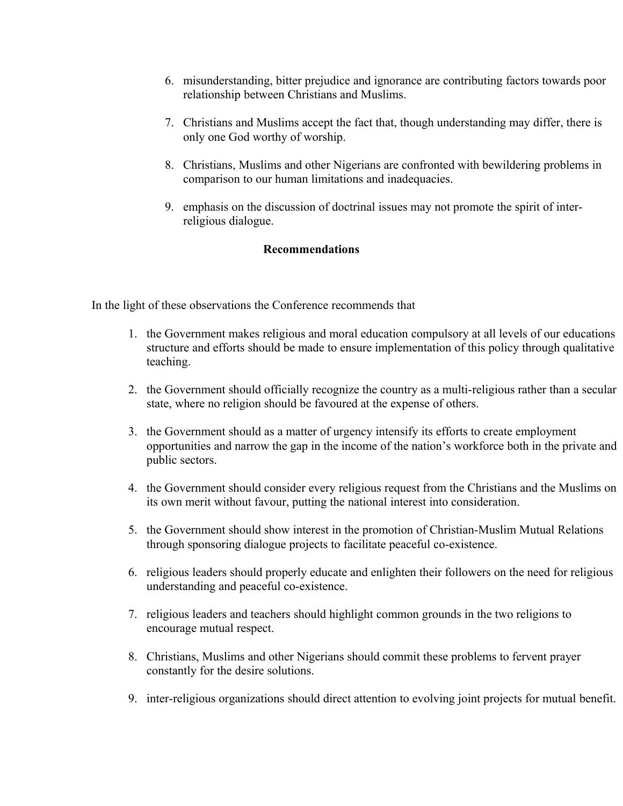- 6. misunderstanding, bitter prejudice and ignorance are contributing factors towards poor relationship between Christians and Muslims.
- 7. Christians and Muslims accept the fact that, though understanding may differ, there is only one God worthy of worship.
- 8. Christians, Muslims and other Nigerians are confronted with bewildering problems in comparison to our human limitations and inadequacies.
- 9. emphasis on the discussion of doctrinal issues may not promote the spirit of interreligious dialogue.

## **Recommendations**

In the light of these observations the Conference recommends that

- 1. the Government makes religious and moral education compulsory at all levels of our educations structure and efforts should be made to ensure implementation of this policy through qualitative teaching.
- 2. the Government should officially recognize the country as a multi-religious rather than a secular state, where no religion should be favoured at the expense of others.
- 3. the Government should as a matter of urgency intensify its efforts to create employment opportunities and narrow the gap in the income of the nation's workforce both in the private and public sectors.
- 4. the Government should consider every religious request from the Christians and the Muslims on its own merit without favour, putting the national interest into consideration.
- 5. the Government should show interest in the promotion of Christian-Muslim Mutual Relations through sponsoring dialogue projects to facilitate peaceful co-existence.
- 6. religious leaders should properly educate and enlighten their followers on the need for religious understanding and peaceful co-existence.
- 7. religious leaders and teachers should highlight common grounds in the two religions to encourage mutual respect.
- 8. Christians, Muslims and other Nigerians should commit these problems to fervent prayer constantly for the desire solutions.
- 9. inter-religious organizations should direct attention to evolving joint projects for mutual benefit.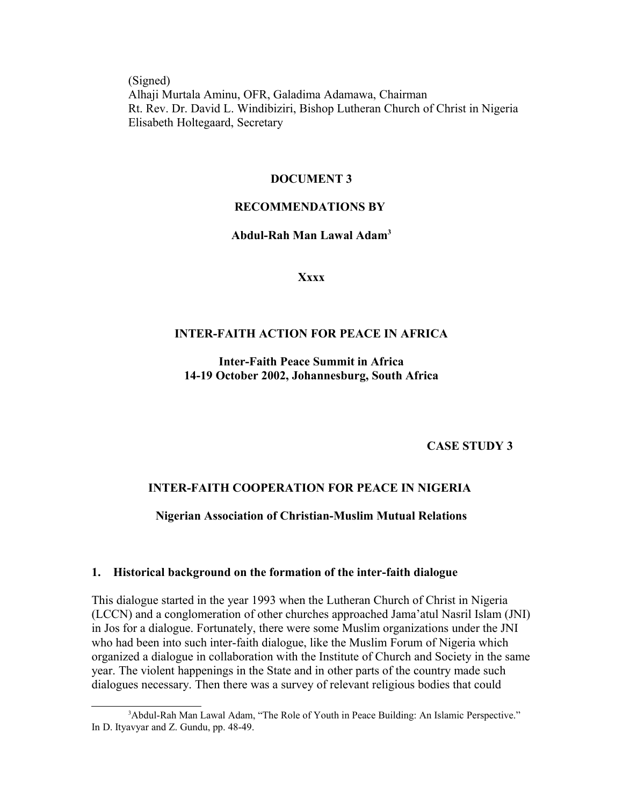(Signed) Alhaji Murtala Aminu, OFR, Galadima Adamawa, Chairman Rt. Rev. Dr. David L. Windibiziri, Bishop Lutheran Church of Christ in Nigeria Elisabeth Holtegaard, Secretary

#### **DOCUMENT 3**

#### **RECOMMENDATIONS BY**

### **Abdul-Rah Man Lawal Adam[3](#page-5-0)**

**Xxxx**

## **INTER-FAITH ACTION FOR PEACE IN AFRICA**

**Inter-Faith Peace Summit in Africa 14-19 October 2002, Johannesburg, South Africa**

**CASE STUDY 3**

#### **INTER-FAITH COOPERATION FOR PEACE IN NIGERIA**

#### **Nigerian Association of Christian-Muslim Mutual Relations**

#### **1. Historical background on the formation of the inter-faith dialogue**

This dialogue started in the year 1993 when the Lutheran Church of Christ in Nigeria (LCCN) and a conglomeration of other churches approached Jama'atul Nasril Islam (JNI) in Jos for a dialogue. Fortunately, there were some Muslim organizations under the JNI who had been into such inter-faith dialogue, like the Muslim Forum of Nigeria which organized a dialogue in collaboration with the Institute of Church and Society in the same year. The violent happenings in the State and in other parts of the country made such dialogues necessary. Then there was a survey of relevant religious bodies that could

<span id="page-5-0"></span><sup>&</sup>lt;sup>3</sup>Abdul-Rah Man Lawal Adam, "The Role of Youth in Peace Building: An Islamic Perspective." In D. Ityavyar and Z. Gundu, pp. 48-49.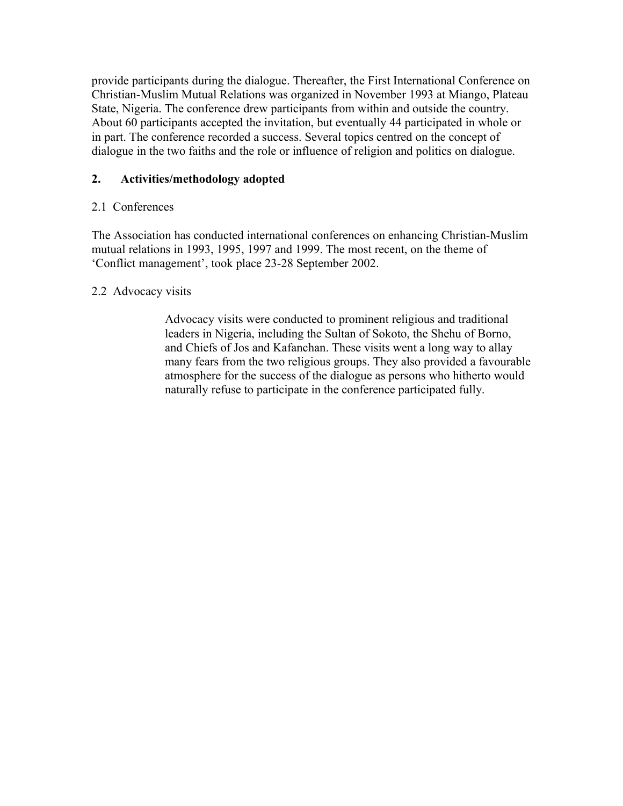provide participants during the dialogue. Thereafter, the First International Conference on Christian-Muslim Mutual Relations was organized in November 1993 at Miango, Plateau State, Nigeria. The conference drew participants from within and outside the country. About 60 participants accepted the invitation, but eventually 44 participated in whole or in part. The conference recorded a success. Several topics centred on the concept of dialogue in the two faiths and the role or influence of religion and politics on dialogue.

# **2. Activities/methodology adopted**

# 2.1 Conferences

The Association has conducted international conferences on enhancing Christian-Muslim mutual relations in 1993, 1995, 1997 and 1999. The most recent, on the theme of 'Conflict management', took place 23-28 September 2002.

# 2.2 Advocacy visits

Advocacy visits were conducted to prominent religious and traditional leaders in Nigeria, including the Sultan of Sokoto, the Shehu of Borno, and Chiefs of Jos and Kafanchan. These visits went a long way to allay many fears from the two religious groups. They also provided a favourable atmosphere for the success of the dialogue as persons who hitherto would naturally refuse to participate in the conference participated fully.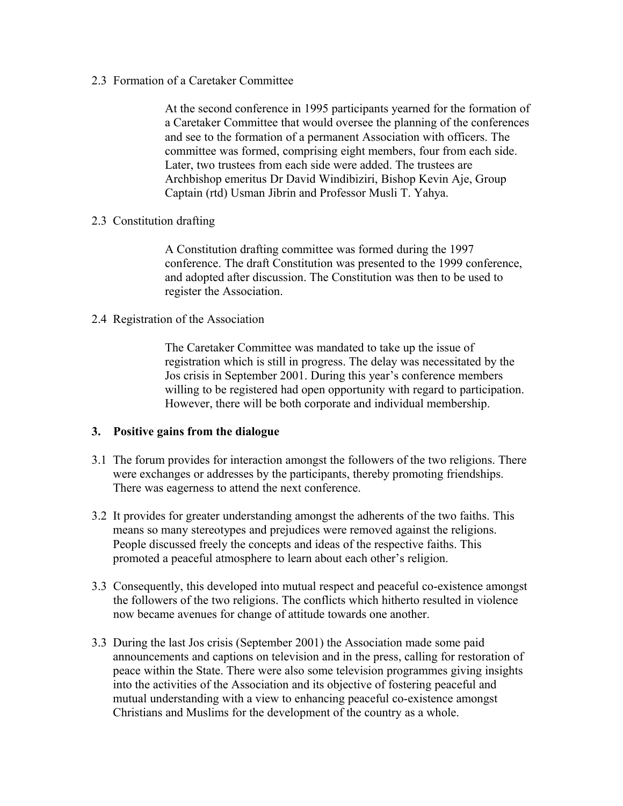2.3 Formation of a Caretaker Committee

At the second conference in 1995 participants yearned for the formation of a Caretaker Committee that would oversee the planning of the conferences and see to the formation of a permanent Association with officers. The committee was formed, comprising eight members, four from each side. Later, two trustees from each side were added. The trustees are Archbishop emeritus Dr David Windibiziri, Bishop Kevin Aje, Group Captain (rtd) Usman Jibrin and Professor Musli T. Yahya.

#### 2.3 Constitution drafting

A Constitution drafting committee was formed during the 1997 conference. The draft Constitution was presented to the 1999 conference, and adopted after discussion. The Constitution was then to be used to register the Association.

2.4 Registration of the Association

The Caretaker Committee was mandated to take up the issue of registration which is still in progress. The delay was necessitated by the Jos crisis in September 2001. During this year's conference members willing to be registered had open opportunity with regard to participation. However, there will be both corporate and individual membership.

#### **3. Positive gains from the dialogue**

- 3.1 The forum provides for interaction amongst the followers of the two religions. There were exchanges or addresses by the participants, thereby promoting friendships. There was eagerness to attend the next conference.
- 3.2 It provides for greater understanding amongst the adherents of the two faiths. This means so many stereotypes and prejudices were removed against the religions. People discussed freely the concepts and ideas of the respective faiths. This promoted a peaceful atmosphere to learn about each other's religion.
- 3.3 Consequently, this developed into mutual respect and peaceful co-existence amongst the followers of the two religions. The conflicts which hitherto resulted in violence now became avenues for change of attitude towards one another.
- 3.3 During the last Jos crisis (September 2001) the Association made some paid announcements and captions on television and in the press, calling for restoration of peace within the State. There were also some television programmes giving insights into the activities of the Association and its objective of fostering peaceful and mutual understanding with a view to enhancing peaceful co-existence amongst Christians and Muslims for the development of the country as a whole.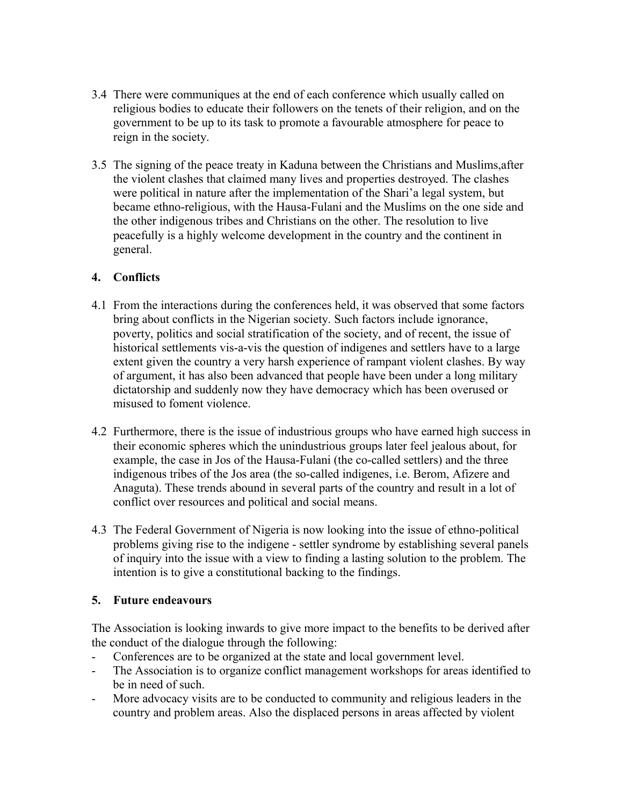- 3.4 There were communiques at the end of each conference which usually called on religious bodies to educate their followers on the tenets of their religion, and on the government to be up to its task to promote a favourable atmosphere for peace to reign in the society.
- 3.5 The signing of the peace treaty in Kaduna between the Christians and Muslims,after the violent clashes that claimed many lives and properties destroyed. The clashes were political in nature after the implementation of the Shari'a legal system, but became ethno-religious, with the Hausa-Fulani and the Muslims on the one side and the other indigenous tribes and Christians on the other. The resolution to live peacefully is a highly welcome development in the country and the continent in general.

# **4. Conflicts**

- 4.1 From the interactions during the conferences held, it was observed that some factors bring about conflicts in the Nigerian society. Such factors include ignorance, poverty, politics and social stratification of the society, and of recent, the issue of historical settlements vis-a-vis the question of indigenes and settlers have to a large extent given the country a very harsh experience of rampant violent clashes. By way of argument, it has also been advanced that people have been under a long military dictatorship and suddenly now they have democracy which has been overused or misused to foment violence.
- 4.2 Furthermore, there is the issue of industrious groups who have earned high success in their economic spheres which the unindustrious groups later feel jealous about, for example, the case in Jos of the Hausa-Fulani (the co-called settlers) and the three indigenous tribes of the Jos area (the so-called indigenes, i.e. Berom, Afizere and Anaguta). These trends abound in several parts of the country and result in a lot of conflict over resources and political and social means.
- 4.3 The Federal Government of Nigeria is now looking into the issue of ethno-political problems giving rise to the indigene - settler syndrome by establishing several panels of inquiry into the issue with a view to finding a lasting solution to the problem. The intention is to give a constitutional backing to the findings.

# **5. Future endeavours**

The Association is looking inwards to give more impact to the benefits to be derived after the conduct of the dialogue through the following:

- Conferences are to be organized at the state and local government level.
- The Association is to organize conflict management workshops for areas identified to be in need of such.
- More advocacy visits are to be conducted to community and religious leaders in the country and problem areas. Also the displaced persons in areas affected by violent